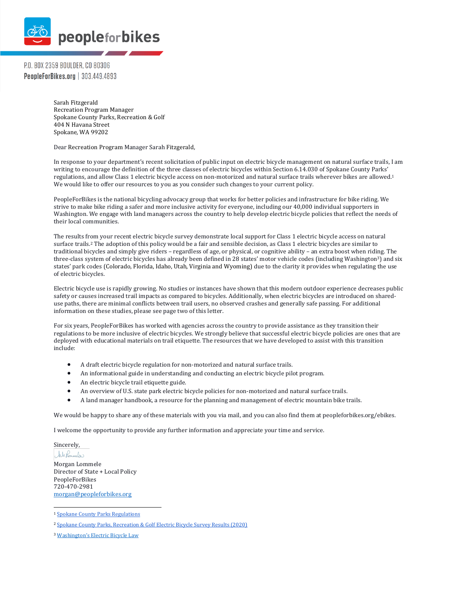

P.O. BOX 2359 BOULDER, CO 80306 **PeopleForBikes.org** | 303.449.4893

> Sarah Fitzgerald Recreation Program Manager Spokane County Parks, Recreation & Golf 404 N Havana Street Spokane, WA 99202

Dear Recreation Program Manager Sarah Fitzgerald,

In response to your department's recent solicitation of public input on electric bicycle management on natural surface trails. I am writing to encourage the definition of the three classes of electric bicycles within Section 6.14.030 of Spokane County Parks' regulations, and allow Class 1 electric bicycle access on non-motorized and natural surface trails wherever bikes are allowed.<sup>1</sup> We would like to offer our resources to you as you consider such changes to your current policy.

PeopleForBikes is the national bicycling advocacy group that works for better policies and infrastructure for bike riding. We strive to make bike riding a safer and more inclusive activity for everyone, including our 40,000 individual supporters in Washington. We engage with land managers across the country to help develop electric bicycle policies that reflect the needs of their local communities.

The results from your recent electric bicycle survey demonstrate local support for Class 1 electric bicycle access on natural surface trails.<sup>2</sup> The adoption of this policy would be a fair and sensible decision, as Class 1 electric bicycles are similar to traditional bicycles and simply give riders - regardless of age, or physical, or cognitive ability - an extra boost when riding. The three-class system of electric bicycles has already been defined in 28 states' motor vehicle codes (including Washington3) and six states' park codes (Colorado, Florida, Idaho, Utah, Virginia and Wyoming) due to the clarity it provides when regulating the use of electric bicycles.

Electric bicycle use is rapidly growing. No studies or instances have shown that this modern outdoor experience decreases public safety or causes increased trail impacts as compared to bicycles. Additionally, when electric bicycles are introduced on shareduse paths, there are minimal conflicts between trail users, no observed crashes and generally safe passing. For additional information on these studies, please see page two of this letter.

For six years, PeopleForBikes has worked with agencies across the country to provide assistance as they transition their regulations to be more inclusive of electric bicycles. We strongly believe that successful electric bicycle policies are ones that are deployed with educational materials on trail etiquette. The resources that we have developed to assist with this transition include:

- A draft electric bicycle regulation for non-motorized and natural surface trails.
- An informational guide in understanding and conducting an electric bicycle pilot program.
- An electric bicycle trail etiquette guide.
- An overview of U.S. state park electric bicycle policies for non-motorized and natural surface trails.
- A land manager handbook, a resource for the planning and management of electric mountain bike trails.

We would be happy to share any of these materials with you via mail, and you can also find them at peopleforbikes.org/ebikes.

I welcome the opportunity to provide any further information and appreciate your time and service.

Sincerely, Withonineles Morgan Lommele Director of State + Local Policy PeopleForBikes 720-470-2981 morgan@peopleforbikes.org

<sup>&</sup>lt;sup>1</sup> Spokane County Parks Regulations

<sup>&</sup>lt;sup>2</sup> Spokane County Parks, Recreation & Golf Electric Bicycle Survey Results (2020)

<sup>&</sup>lt;sup>3</sup> Washington's Electric Bicycle Law